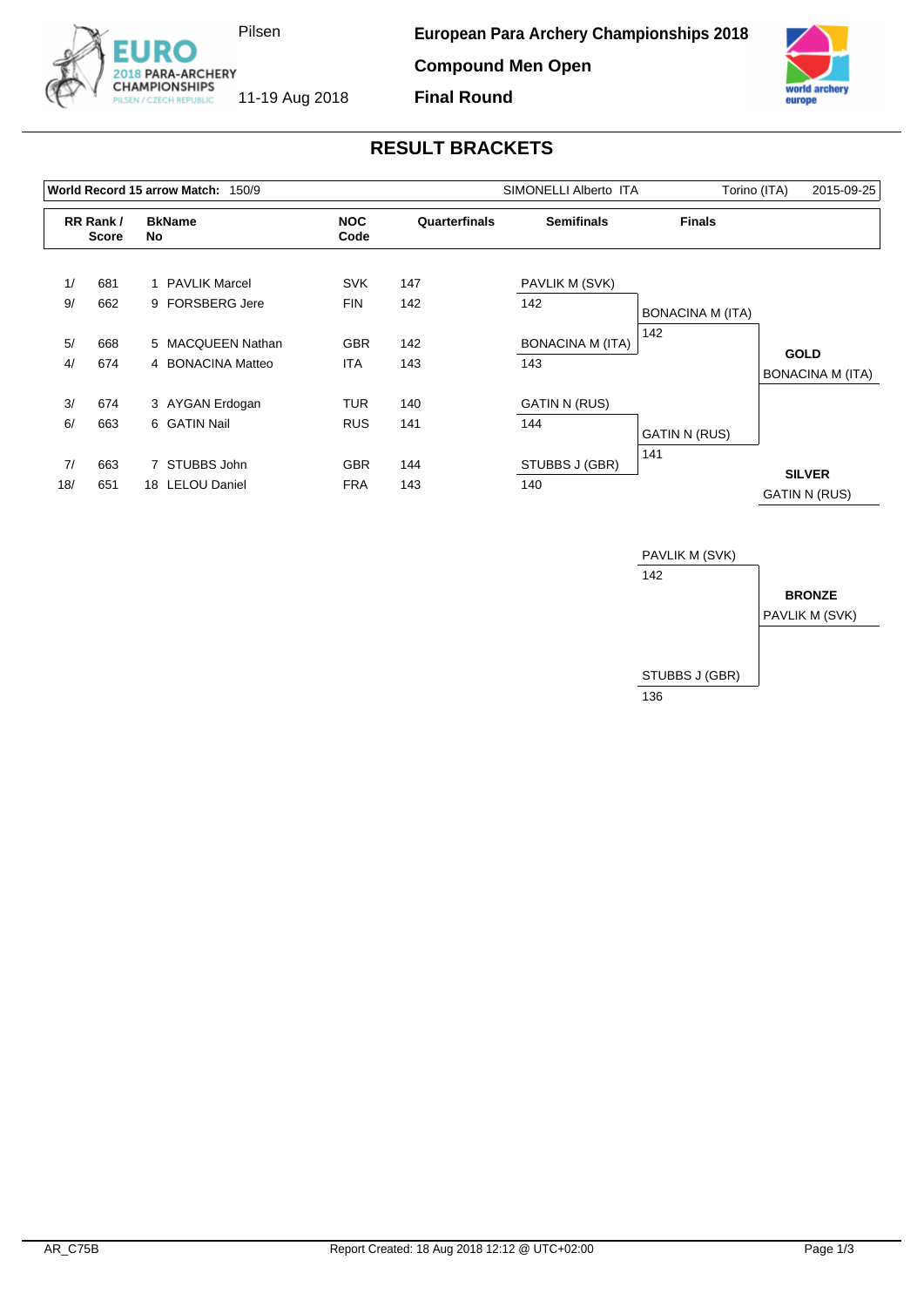

**Compound Men Open**



## **RESULT BRACKETS**

**Final Round**

| World Record 15 arrow Match:<br>150/9 |                          |                     |                    |               | SIMONELLI Alberto ITA   | Torino (ITA)            | 2015-09-25                            |
|---------------------------------------|--------------------------|---------------------|--------------------|---------------|-------------------------|-------------------------|---------------------------------------|
|                                       | RR Rank/<br><b>Score</b> | <b>BkName</b><br>No | <b>NOC</b><br>Code | Quarterfinals | <b>Semifinals</b>       | <b>Finals</b>           |                                       |
| 1/                                    | 681                      | 1 PAVLIK Marcel     | <b>SVK</b>         | 147           | PAVLIK M (SVK)          |                         |                                       |
| 9/                                    | 662                      | 9 FORSBERG Jere     | <b>FIN</b>         | 142           | 142                     | <b>BONACINA M (ITA)</b> |                                       |
| 5/                                    | 668                      | 5 MACQUEEN Nathan   | <b>GBR</b>         | 142           | <b>BONACINA M (ITA)</b> | 142                     | <b>GOLD</b>                           |
| 4/                                    | 674                      | 4 BONACINA Matteo   | <b>ITA</b>         | 143           | 143                     |                         | BONACINA M (ITA)                      |
| 3/                                    | 674                      | 3 AYGAN Erdogan     | TUR                | 140           | <b>GATIN N (RUS)</b>    |                         |                                       |
| 6/                                    | 663                      | 6 GATIN Nail        | <b>RUS</b>         | 141           | 144                     | <b>GATIN N (RUS)</b>    |                                       |
| 7/                                    | 663                      | 7 STUBBS John       | <b>GBR</b>         | 144           | STUBBS J (GBR)          | 141                     |                                       |
| 18/                                   | 651                      | 18 LELOU Daniel     | <b>FRA</b>         | 143           | 140                     |                         | <b>SILVER</b><br><b>GATIN N (RUS)</b> |

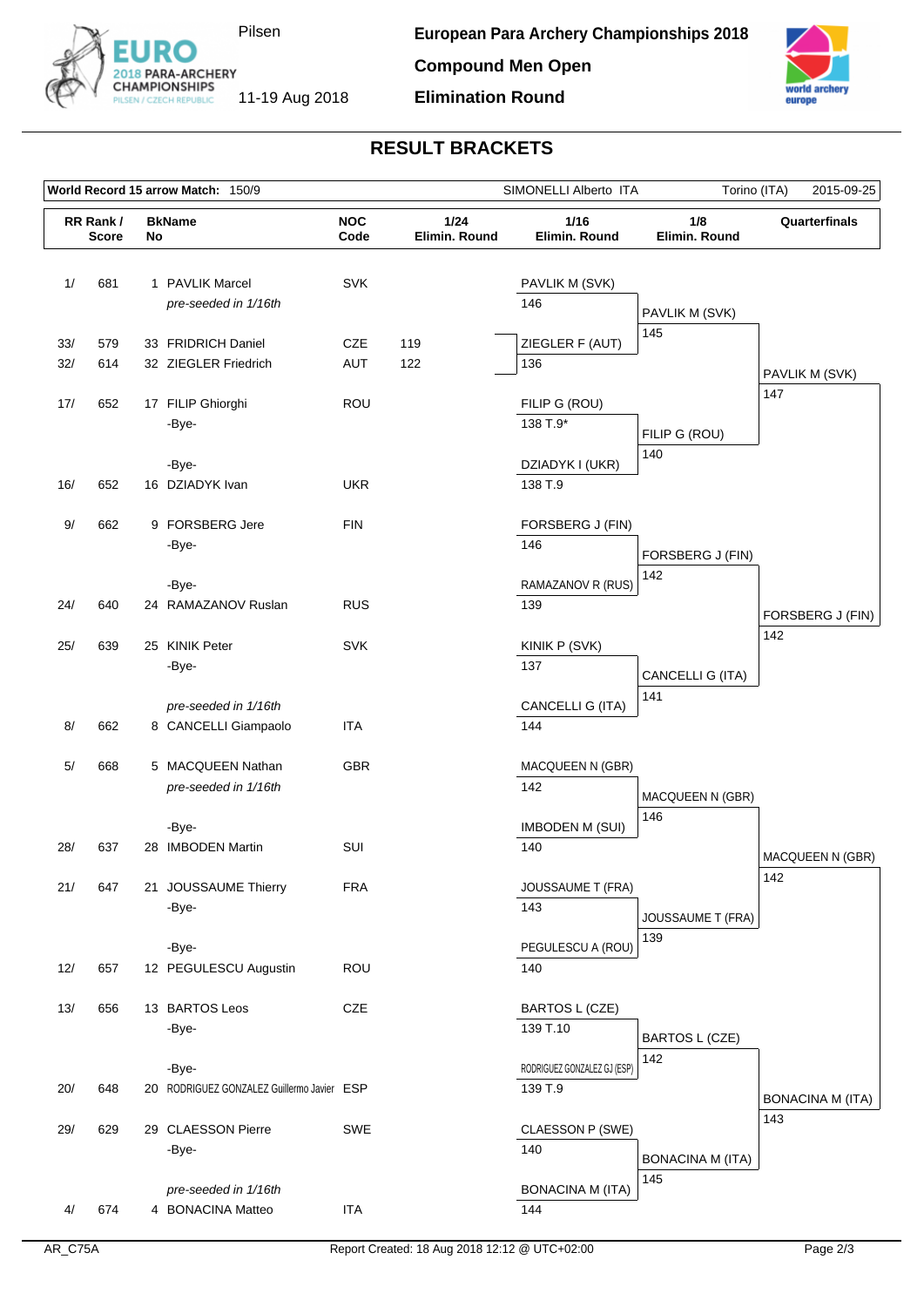

**Compound Men Open**

**Elimination Round**



## **RESULT BRACKETS**

|     | World Record 15 arrow Match: 150/9 |    |                                                     |                    |                       | SIMONELLI Alberto ITA                  | Torino (ITA)<br>2015-09-25 |                         |
|-----|------------------------------------|----|-----------------------------------------------------|--------------------|-----------------------|----------------------------------------|----------------------------|-------------------------|
|     | RR Rank/<br><b>Score</b>           | No | <b>BkName</b>                                       | <b>NOC</b><br>Code | 1/24<br>Elimin. Round | 1/16<br>Elimin. Round                  | 1/8<br>Elimin. Round       | Quarterfinals           |
| 1/  | 681                                |    | 1 PAVLIK Marcel<br>pre-seeded in 1/16th             | <b>SVK</b>         |                       | PAVLIK M (SVK)<br>146                  | PAVLIK M (SVK)             |                         |
| 33/ | 579                                |    | 33 FRIDRICH Daniel                                  | CZE                | 119                   | ZIEGLER F (AUT)                        | 145                        |                         |
| 32/ | 614                                |    | 32 ZIEGLER Friedrich                                | <b>AUT</b>         | 122                   | 136                                    |                            | PAVLIK M (SVK)          |
| 17/ | 652                                |    | 17 FILIP Ghiorghi<br>-Bye-                          | ROU                |                       | FILIP G (ROU)<br>138 T.9*              | FILIP G (ROU)              | 147                     |
| 16/ | 652                                |    | -Bye-<br>16 DZIADYK Ivan                            | <b>UKR</b>         |                       | DZIADYK I (UKR)<br>138 T.9             | 140                        |                         |
| 9/  | 662                                |    | 9 FORSBERG Jere<br>-Bye-                            | <b>FIN</b>         |                       | FORSBERG J (FIN)<br>146                | FORSBERG J (FIN)           |                         |
| 24/ | 640                                |    | -Bye-<br>24 RAMAZANOV Ruslan                        | <b>RUS</b>         |                       | RAMAZANOV R (RUS)<br>139               | 142                        | FORSBERG J (FIN)        |
| 25/ | 639                                |    | 25 KINIK Peter<br>-Bye-                             | <b>SVK</b>         |                       | KINIK P (SVK)<br>137                   | CANCELLI G (ITA)           | 142                     |
| 8/  | 662                                |    | pre-seeded in 1/16th<br>8 CANCELLI Giampaolo        | <b>ITA</b>         |                       | CANCELLI G (ITA)<br>144                | 141                        |                         |
| 5/  | 668                                |    | 5 MACQUEEN Nathan<br>pre-seeded in 1/16th           | GBR                |                       | MACQUEEN N (GBR)<br>142                | MACQUEEN N (GBR)           |                         |
| 28/ | 637                                |    | -Bye-<br>28 IMBODEN Martin                          | SUI                |                       | <b>IMBODEN M (SUI)</b><br>140          | 146                        | MACQUEEN N (GBR)        |
| 21/ | 647                                |    | 21 JOUSSAUME Thierry<br>-Bye-                       | <b>FRA</b>         |                       | <b>JOUSSAUME T (FRA)</b><br>143        | JOUSSAUME T (FRA)          | 142                     |
| 12/ | 657                                |    | -Bye-<br>12 PEGULESCU Augustin                      | <b>ROU</b>         |                       | PEGULESCU A (ROU)<br>140               | 139                        |                         |
| 13/ | 656                                |    | 13 BARTOS Leos<br>-Bye-                             | CZE                |                       | <b>BARTOS L (CZE)</b><br>139 T.10      | BARTOS L (CZE)             |                         |
| 20/ | 648                                |    | -Bye-<br>20 RODRIGUEZ GONZALEZ Guillermo Javier ESP |                    |                       | RODRIGUEZ GONZALEZ GJ (ESP)<br>139 T.9 | 142                        | <b>BONACINA M (ITA)</b> |
| 29/ | 629                                |    | 29 CLAESSON Pierre<br>-Bye-                         | SWE                |                       | CLAESSON P (SWE)<br>140                | <b>BONACINA M (ITA)</b>    | 143                     |
| 4/  | 674                                |    | pre-seeded in 1/16th<br>4 BONACINA Matteo           | ITA                |                       | <b>BONACINA M (ITA)</b><br>144         | 145                        |                         |